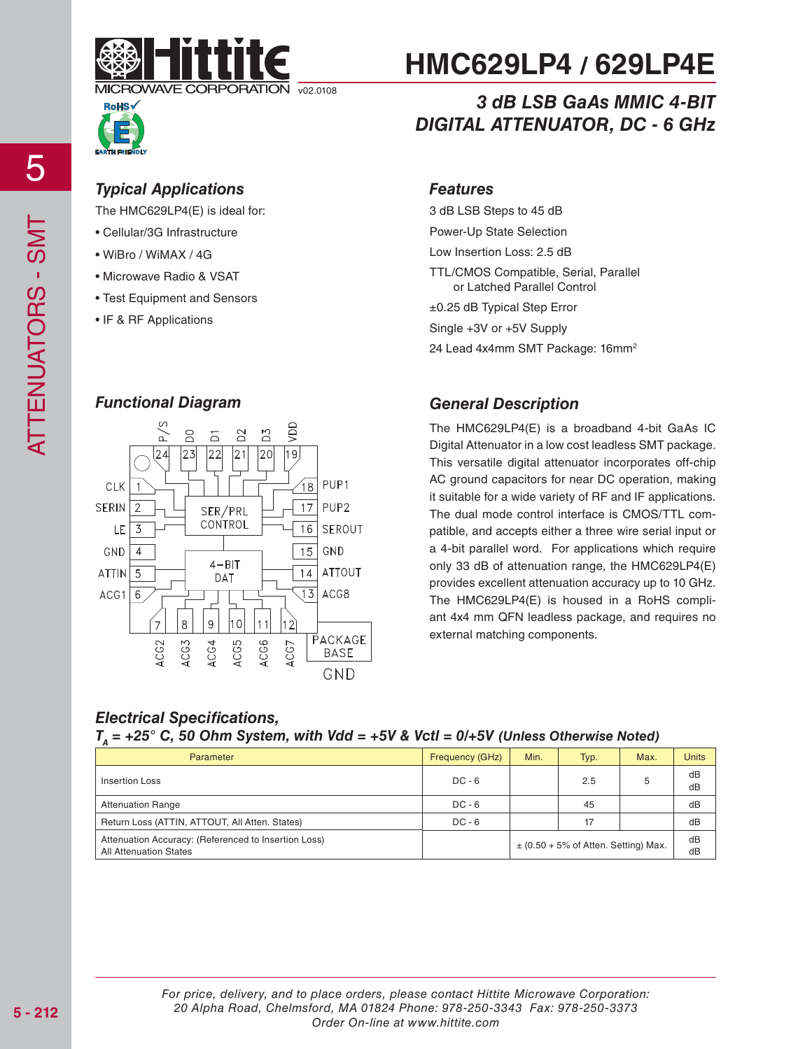



# *3 dB LSB GaAs MMIC 4-BIT DIGITAL ATTENUATOR, DC - 6 GHz*

### *Typical Applications Features*

The HMC629LP4(E) is ideal for:

- Cellular/3G Infrastructure
- WiBro / WiMAX / 4G
- Microwave Radio & VSAT
- Test Equipment and Sensors
- IF & RF Applications

- 
- 
- 
- 

#### *Functional Diagram*



### *General Description*

±0.25 dB Typical Step Error Single +3V or +5V Supply

3 dB LSB Steps to 45 dB Power-Up State Selection Low Insertion Loss: 2.5 dB

TTL/CMOS Compatible, Serial, Parallel or Latched Parallel Control

24 Lead 4x4mm SMT Package: 16mm<sup>2</sup>

The HMC629LP4(E) is a broadband 4-bit GaAs IC Digital Attenuator in a low cost leadless SMT package. This versatile digital attenuator incorporates off-chip AC ground capacitors for near DC operation, making it suitable for a wide variety of RF and IF applications. The dual mode control interface is CMOS/TTL compatible, and accepts either a three wire serial input or a 4-bit parallel word. For applications which require only 33 dB of attenuation range, the HMC629LP4(E) provides excellent attenuation accuracy up to 10 GHz. The HMC629LP4(E) is housed in a RoHS compliant 4x4 mm QFN leadless package, and requires no external matching components.

### *Electrical Specifications,*

#### $T_a$  = +25° C, 50 Ohm System, with Vdd = +5V & Vctl = 0/+5V (Unless Otherwise Noted)

| Parameter                                                                             | Frequency (GHz) | Min. | Typ.                                     | Max. | <b>Units</b> |
|---------------------------------------------------------------------------------------|-----------------|------|------------------------------------------|------|--------------|
| Insertion Loss                                                                        | $DC - 6$        |      | 2.5                                      | 5    | dB<br>dB     |
| <b>Attenuation Range</b>                                                              | $DC - 6$        |      | 45                                       |      | dB           |
| Return Loss (ATTIN, ATTOUT, All Atten, States)                                        | $DC - 6$        |      | 17                                       |      | dB           |
| Attenuation Accuracy: (Referenced to Insertion Loss)<br><b>All Attenuation States</b> |                 |      | $\pm$ (0.50 + 5% of Atten. Setting) Max. |      | dB<br>dB     |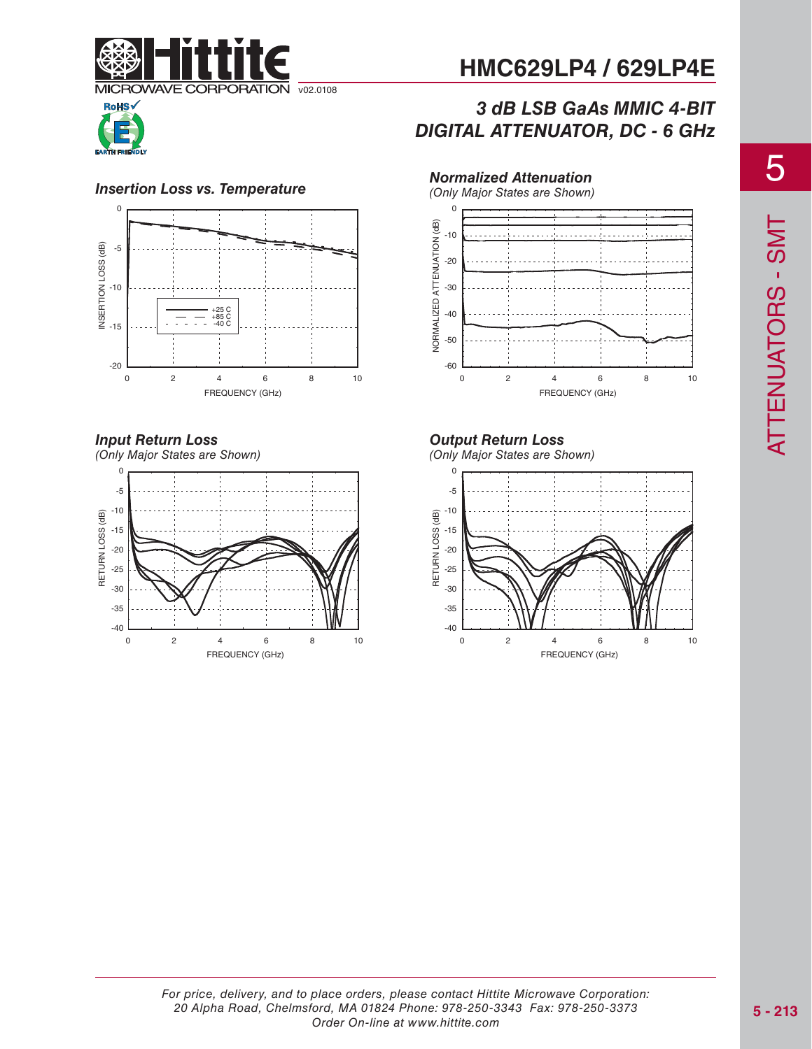

# *3 dB LSB GaAs MMIC 4-BIT DIGITAL ATTENUATOR, DC - 6 GHz*



#### **Insertion Loss vs. Temperature**



## *Input Return Loss*

(Only Major States are Shown)  $\Omega$ -5 -10 RETURN LOSS (dB) RETURN LOSS (dB) -15 -20 -25 -30 -35 -40 0 2 4 6 8 10 FREQUENCY (GHz)

*Normalized Attenuation*



*Output Return Loss*

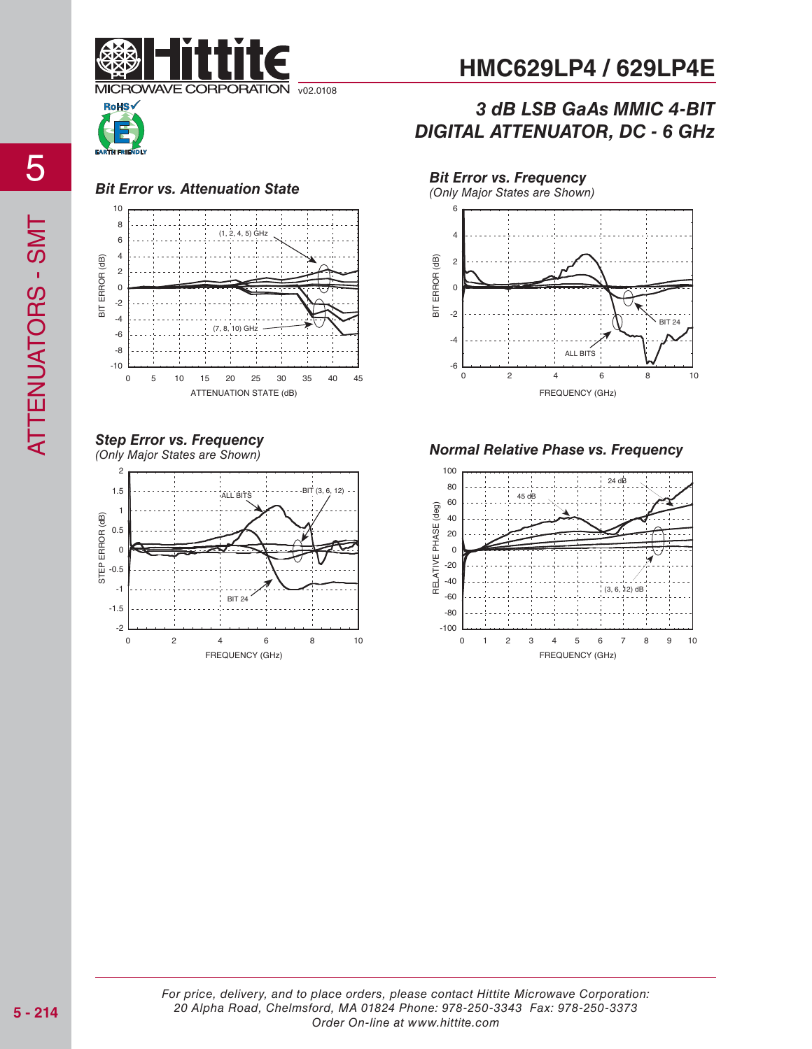





#### *Step Error vs. Frequency* (Only Major States are Shown)



**HMC629LP4 / 629LP4E**

# *3 dB LSB GaAs MMIC 4-BIT DIGITAL ATTENUATOR, DC - 6 GHz*



*Normal Relative Phase vs. Frequency*

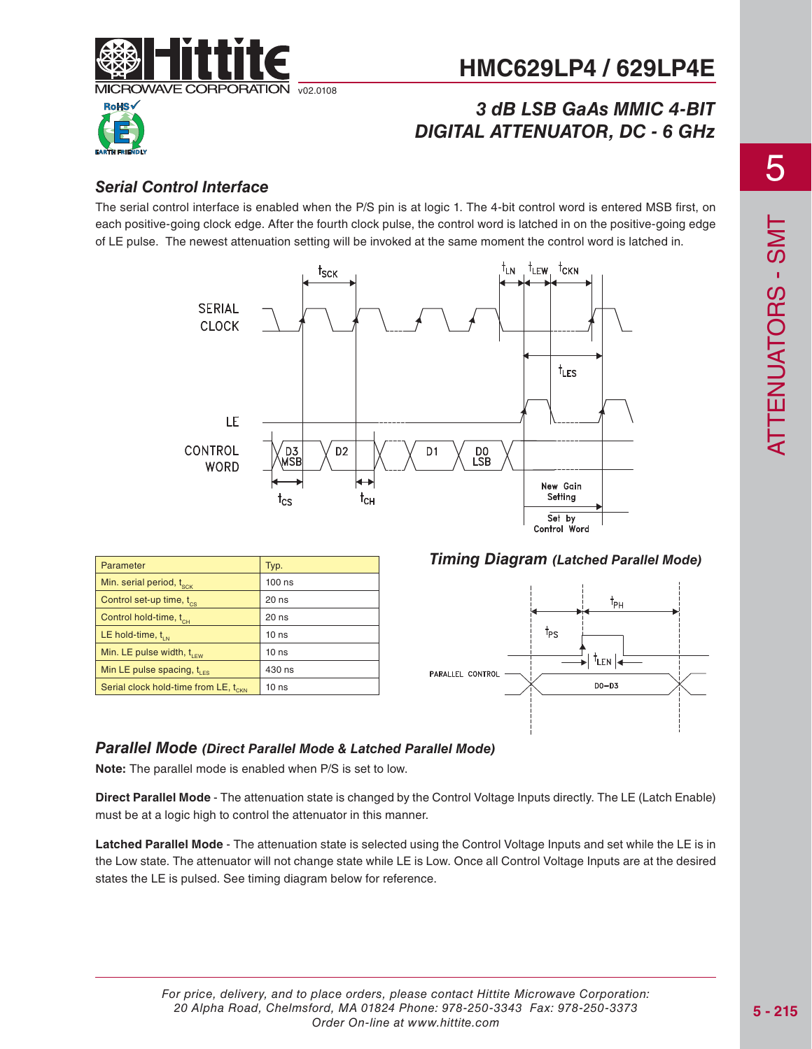

# *3 dB LSB GaAs MMIC 4-BIT DIGITAL ATTENUATOR, DC - 6 GHz*



### *Serial Control Interface*

The serial control interface is enabled when the P/S pin is at logic 1. The 4-bit control word is entered MSB first, on each positive-going clock edge. After the fourth clock pulse, the control word is latched in on the positive-going edge of LE pulse. The newest attenuation setting will be invoked at the same moment the control word is latched in.



| Parameter                                        | Typ.             |
|--------------------------------------------------|------------------|
| Min. serial period, t <sub>sck</sub>             | $100$ ns         |
| Control set-up time, t <sub>cs</sub>             | 20 ns            |
| Control hold-time, t <sub>cH</sub>               | $20$ ns          |
| LE hold-time, $t_{\text{int}}$                   | 10 <sub>ns</sub> |
| Min. LE pulse width, $t_{\text{IFW}}$            | 10 <sub>ns</sub> |
| Min LE pulse spacing, $t_{\text{LFS}}$           | 430 ns           |
| Serial clock hold-time from LE, t <sub>CKN</sub> | 10 <sub>ns</sub> |

*Timing Diagram (Latched Parallel Mode)*



#### *Parallel Mode (Direct Parallel Mode & Latched Parallel Mode)*

**Note:** The parallel mode is enabled when P/S is set to low.

**Direct Parallel Mode** - The attenuation state is changed by the Control Voltage Inputs directly. The LE (Latch Enable) must be at a logic high to control the attenuator in this manner.

**Latched Parallel Mode** - The attenuation state is selected using the Control Voltage Inputs and set while the LE is in the Low state. The attenuator will not change state while LE is Low. Once all Control Voltage Inputs are at the desired states the LE is pulsed. See timing diagram below for reference.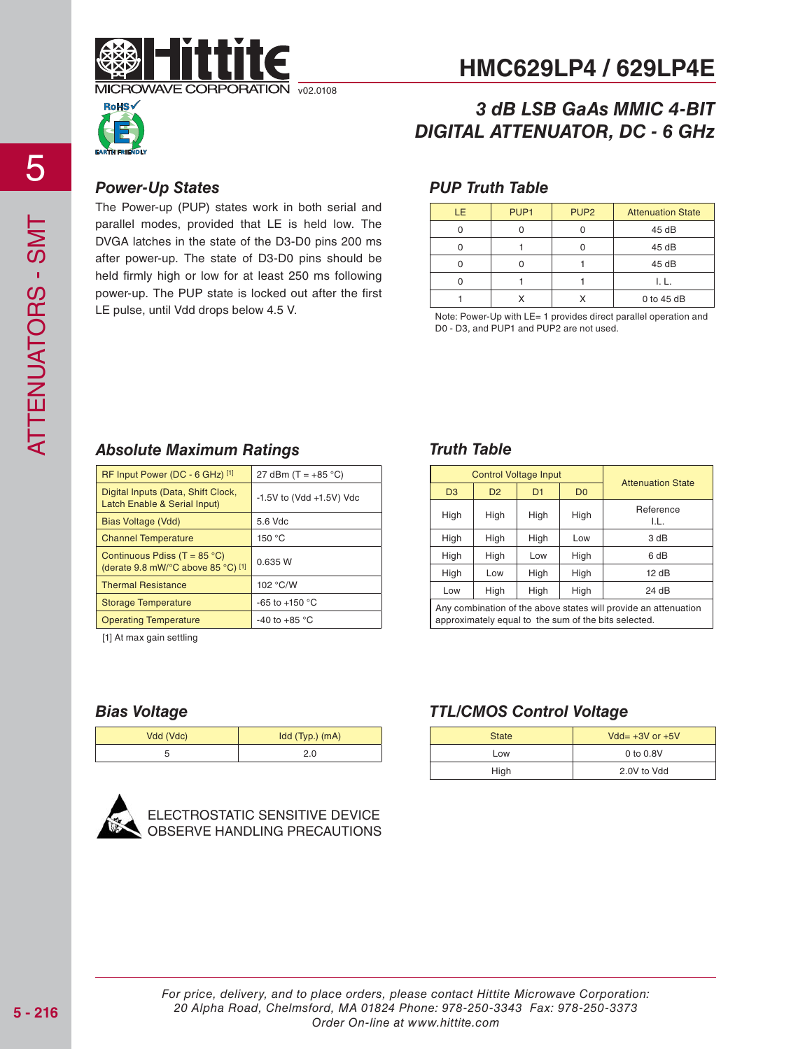



# *3 dB LSB GaAs MMIC 4-BIT DIGITAL ATTENUATOR, DC - 6 GHz*

#### *Power-Up States*

The Power-up (PUP) states work in both serial and parallel modes, provided that LE is held low. The DVGA latches in the state of the D3-D0 pins 200 ms after power-up. The state of D3-D0 pins should be held firmly high or low for at least 250 ms following power-up. The PUP state is locked out after the first LE pulse, until Vdd drops below 4.5 V.

#### *PUP Truth Table*

| LE. | PUP <sub>1</sub> | PUP <sub>2</sub> | <b>Attenuation State</b> |
|-----|------------------|------------------|--------------------------|
|     |                  |                  | 45 dB                    |
|     |                  |                  | 45 dB                    |
|     |                  |                  | 45 dB                    |
|     |                  |                  | I. L.                    |
|     |                  |                  | $0$ to 45 dB             |

Note: Power-Up with LE= 1 provides direct parallel operation and D0 - D3, and PUP1 and PUP2 are not used.

#### *Absolute Maximum Ratings*

| RF Input Power (DC - 6 GHz) [1]                                             | 27 dBm $(T = +85 °C)$         |
|-----------------------------------------------------------------------------|-------------------------------|
| Digital Inputs (Data, Shift Clock,<br>Latch Enable & Serial Input)          | $-1.5V$ to (Vdd $+1.5V$ ) Vdc |
| Bias Voltage (Vdd)                                                          | 5.6 Vdc                       |
| <b>Channel Temperature</b>                                                  | 150 °C                        |
| Continuous Pdiss (T = $85^{\circ}$ C)<br>(derate 9.8 mW/°C above 85 °C) [1] | 0.635 W                       |
| <b>Thermal Resistance</b>                                                   | 102 °C/W                      |
| <b>Storage Temperature</b>                                                  | -65 to +150 $^{\circ}$ C      |
| <b>Operating Temperature</b>                                                | -40 to +85 $^{\circ}$ C       |

[1] At max gain settling

## *Truth Table*

| <b>Control Voltage Input</b>                                                                                            |                |      | <b>Attenuation State</b> |                   |
|-------------------------------------------------------------------------------------------------------------------------|----------------|------|--------------------------|-------------------|
| D <sub>3</sub>                                                                                                          | D <sub>2</sub> | D1   | D <sub>0</sub>           |                   |
| High                                                                                                                    | High           | High | High                     | Reference<br>I.L. |
| High                                                                                                                    | High           | High | Low                      | 3 dB              |
| High                                                                                                                    | High           | Low  | High                     | 6 dB              |
| High                                                                                                                    | Low            | High | High                     | 12 dB             |
| High<br>High<br>High<br>24 dB<br>Low                                                                                    |                |      |                          |                   |
| Any combination of the above states will provide an attenuation<br>approximately equal to the sum of the bits selected. |                |      |                          |                   |

### *Bias Voltage*

| Vdd (Vdc) | $Idd$ (Typ.) $(mA)$ |
|-----------|---------------------|
|           | 2.0                 |



**ECTROSTATIC SENSITIVE DEVICE** OBSERVE HANDLING PRECAUTIONS

#### *TTL/CMOS Control Voltage*

| $Vdd = +3V$ or $+5V$<br><b>State</b> |             |
|--------------------------------------|-------------|
| Low                                  | 0 to 0.8V   |
| High                                 | 2.0V to Vdd |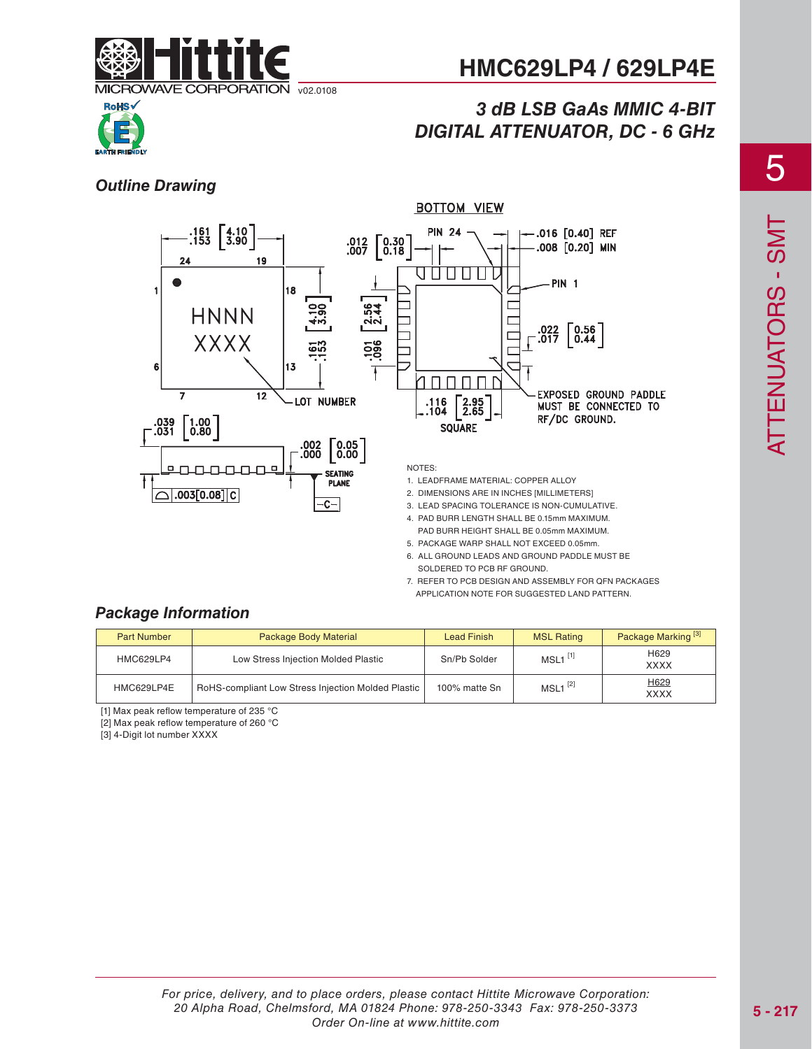

# *3 dB LSB GaAs MMIC 4-BIT DIGITAL ATTENUATOR, DC - 6 GHz*



#### *Outline Drawing*



- PAD BURR HEIGHT SHALL BE 0.05mm MAXIMUM. 5. PACKAGE WARP SHALL NOT EXCEED 0.05mm.
- 6. ALL GROUND LEADS AND GROUND PADDLE MUST BE SOLDERED TO PCB RF GROUND.
- 7. REFER TO PCB DESIGN AND ASSEMBLY FOR QFN PACKAGES APPLICATION NOTE FOR SUGGESTED LAND PATTERN.

#### *Package Information*

| <b>Part Number</b> | Package Body Material                              | <b>Lead Finish</b> | <b>MSL Rating</b>     | Package Marking <sup>[3]</sup> |
|--------------------|----------------------------------------------------|--------------------|-----------------------|--------------------------------|
| <b>HMC629LP4</b>   | Low Stress Injection Molded Plastic                | Sn/Pb Solder       | $MSL1$ <sup>[1]</sup> | H629<br><b>XXXX</b>            |
| HMC629LP4E         | RoHS-compliant Low Stress Injection Molded Plastic |                    | $MSL1^{[2]}$          | H629<br><b>XXXX</b>            |

[1] Max peak reflow temperature of 235 °C

[2] Max peak reflow temperature of 260 °C

[3] 4-Digit lot number XXXX

5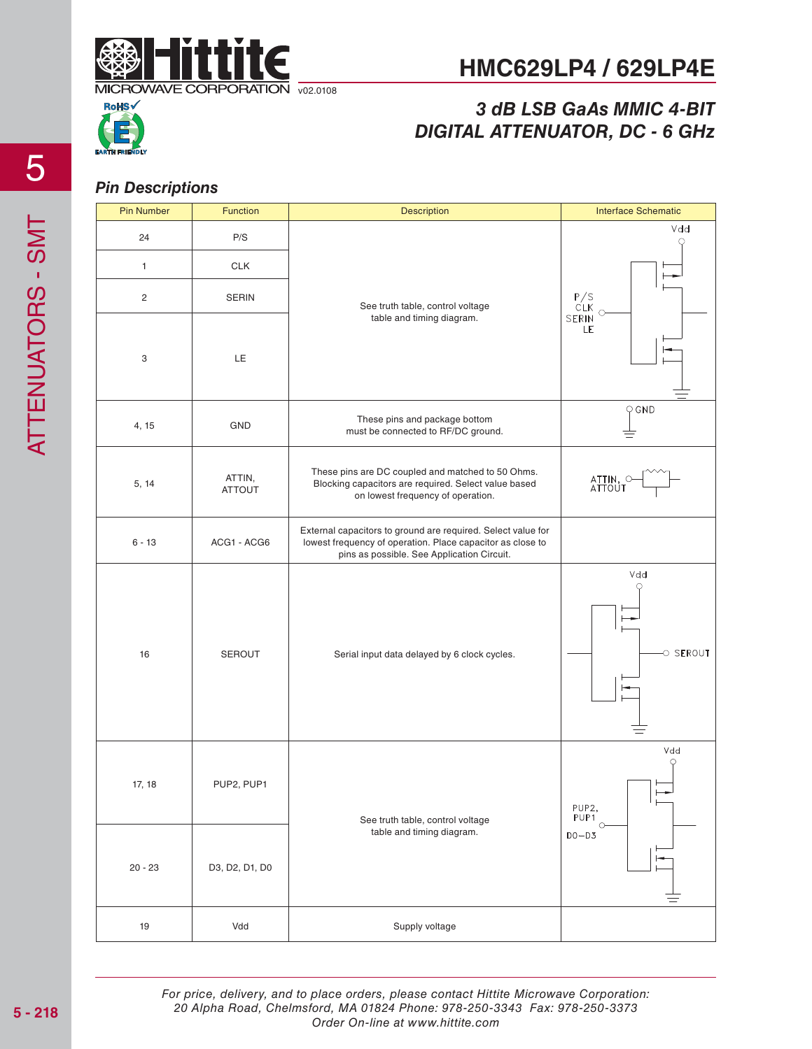

# *3 dB LSB GaAs MMIC 4-BIT DIGITAL ATTENUATOR, DC - 6 GHz*



#### *Pin Descriptions*

| <b>Pin Number</b> | <b>Function</b>         | <b>Description</b>                                                                                                                                                       | <b>Interface Schematic</b>                             |
|-------------------|-------------------------|--------------------------------------------------------------------------------------------------------------------------------------------------------------------------|--------------------------------------------------------|
| 24                | P/S                     |                                                                                                                                                                          | Vdd<br>С.                                              |
| $\mathbf{1}$      | <b>CLK</b>              |                                                                                                                                                                          |                                                        |
| $\sqrt{2}$        | <b>SERIN</b>            | See truth table, control voltage                                                                                                                                         | P/S<br>CLK<br>SERIN<br>$\circ$                         |
| 3                 | LE                      | table and timing diagram.                                                                                                                                                | LE                                                     |
| 4, 15             | GND                     | These pins and package bottom<br>must be connected to RF/DC ground.                                                                                                      | $Q$ GND                                                |
| 5, 14             | ATTIN,<br><b>ATTOUT</b> | These pins are DC coupled and matched to 50 Ohms.<br>Blocking capacitors are required. Select value based<br>on lowest frequency of operation.                           | ATTIN, C<br>ATTOUT                                     |
| $6 - 13$          | ACG1 - ACG6             | External capacitors to ground are required. Select value for<br>lowest frequency of operation. Place capacitor as close to<br>pins as possible. See Application Circuit. |                                                        |
| 16                | <b>SEROUT</b>           | Serial input data delayed by 6 clock cycles.                                                                                                                             | Vdd<br>O SEROUT                                        |
| 17, 18            | PUP2, PUP1              | See truth table, control voltage                                                                                                                                         | Vdd<br>О<br>╹╒<br>PUP2,<br>PUP <sub>1</sub><br>$\circ$ |
| $20 - 23$         | D3, D2, D1, D0          | table and timing diagram.                                                                                                                                                | $D0-D3$                                                |
| $19$              | Vdd                     | Supply voltage                                                                                                                                                           |                                                        |

For price, delivery, and to place orders, please contact Hittite Microwave Corporation: 20 Alpha Road, Chelmsford, MA 01824 Phone: 978-250-3343 Fax: 978-250-3373 Order On-line at www.hittite.com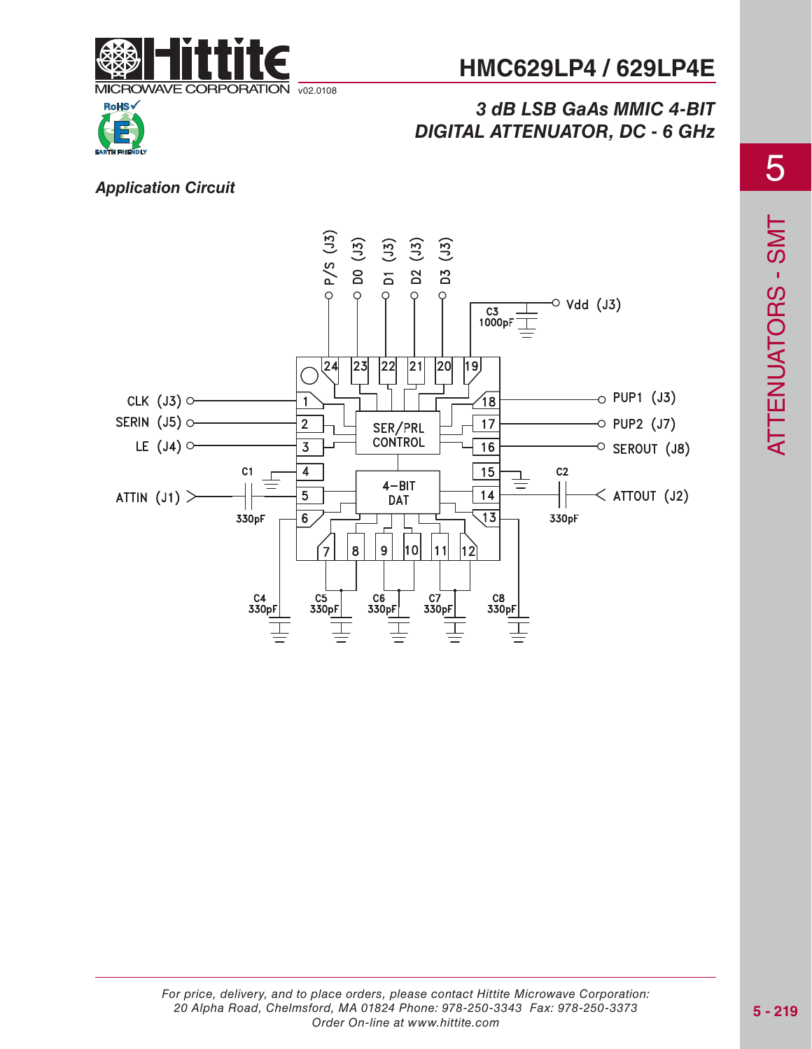

# *3 dB LSB GaAs MMIC 4-BIT DIGITAL ATTENUATOR, DC - 6 GHz*



#### *Application Circuit*

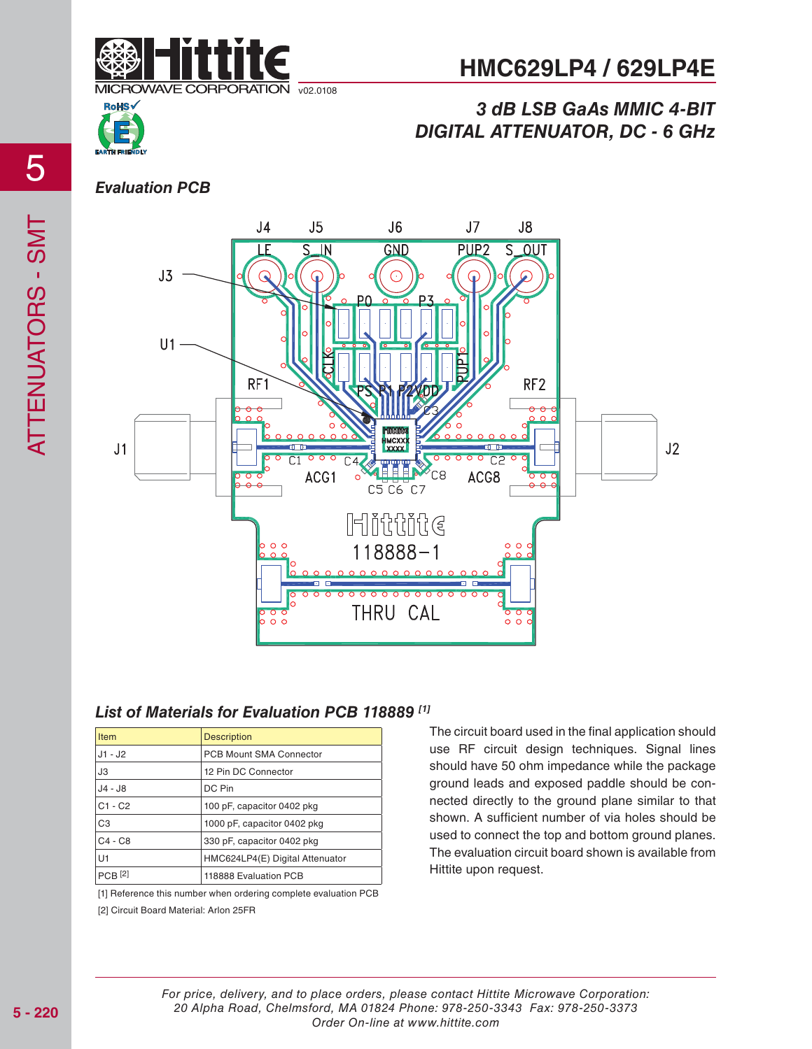

# *3 dB LSB GaAs MMIC 4-BIT DIGITAL ATTENUATOR, DC - 6 GHz*



#### *Evaluation PCB*



#### *List of Materials for Evaluation PCB 118889 [1]*

| <b>Item</b>    | <b>Description</b>              |
|----------------|---------------------------------|
| $J1 - J2$      | <b>PCB Mount SMA Connector</b>  |
| JЗ             | 12 Pin DC Connector             |
| $J4 - J8$      | DC Pin                          |
| $C1 - C2$      | 100 pF, capacitor 0402 pkg      |
| C <sub>3</sub> | 1000 pF, capacitor 0402 pkg     |
| $C4 - C8$      | 330 pF, capacitor 0402 pkg      |
| U1             | HMC624LP4(E) Digital Attenuator |
| $PCB$ [2]      | 118888 Evaluation PCB           |

[1] Reference this number when ordering complete evaluation PCB [2] Circuit Board Material: Arlon 25FR

The circuit board used in the final application should use RF circuit design techniques. Signal lines should have 50 ohm impedance while the package ground leads and exposed paddle should be connected directly to the ground plane similar to that shown. A sufficient number of via holes should be used to connect the top and bottom ground planes. The evaluation circuit board shown is available from Hittite upon request.